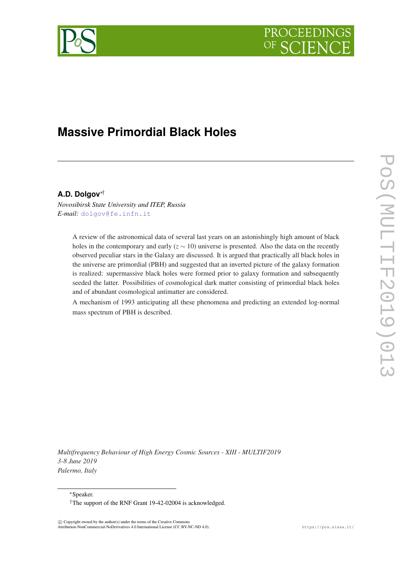



# **Massive Primordial Black Holes**

# **A.D. Dolgov**∗†

*Novosibirsk State University and ITEP, Russia E-mail:* [dolgov@fe.infn.it](mailto:dolgov@fe.infn.it)

> A review of the astronomical data of several last years on an astonishingly high amount of black holes in the contemporary and early  $(z \sim 10)$  universe is presented. Also the data on the recently observed peculiar stars in the Galaxy are discussed. It is argued that practically all black holes in the universe are primordial (PBH) and suggested that an inverted picture of the galaxy formation is realized: supermassive black holes were formed prior to galaxy formation and subsequently seeded the latter. Possibilities of cosmological dark matter consisting of primordial black holes and of abundant cosmological antimatter are considered.

> A mechanism of 1993 anticipating all these phenomena and predicting an extended log-normal mass spectrum of PBH is described.

*Multifrequency Behaviour of High Energy Cosmic Sources - XIII - MULTIF2019 3-8 June 2019 Palermo, Italy*

<sup>∗</sup>Speaker.

 $\overline{c}$  Copyright owned by the author(s) under the terms of the Creative Common Attribution-NonCommercial-NoDerivatives 4.0 International License (CC BY-NC-ND 4.0). https://pos.sissa.it/

<sup>†</sup>The support of the RNF Grant 19-42-02004 is acknowledged.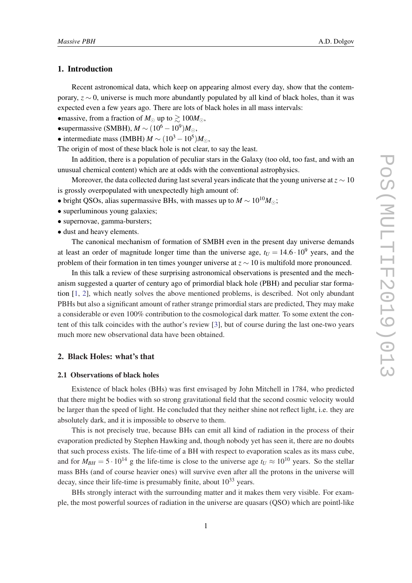## <span id="page-1-0"></span>1. Introduction

Recent astronomical data, which keep on appearing almost every day, show that the contemporary, *z* ∼ 0, universe is much more abundantly populated by all kind of black holes, than it was expected even a few years ago. There are lots of black holes in all mass intervals:

•massive, from a fraction of  $M_{\odot}$  up to  $\geq 100M_{\odot}$ ,

•supermassive (SMBH),  $M \sim (10^6 - 10^9)M_{\odot}$ ,

• intermediate mass (IMBH)  $M \sim (10^3 - 10^5) M_{\odot}$ ,

The origin of most of these black hole is not clear, to say the least.

In addition, there is a population of peculiar stars in the Galaxy (too old, too fast, and with an unusual chemical content) which are at odds with the conventional astrophysics.

Moreover, the data collected during last several years indicate that the young universe at *z* ∼ 10 is grossly overpopulated with unexpectedly high amount of:

• bright QSOs, alias supermassive BHs, with masses up to  $M \sim 10^{10} M_{\odot}$ ;

- superluminous young galaxies;
- supernovae, gamma-bursters;
- dust and heavy elements.

The canonical mechanism of formation of SMBH even in the present day universe demands at least an order of magnitude longer time than the universe age,  $t_U = 14.6 \cdot 10^9$  vears, and the problem of their formation in ten times younger universe at *z* ∼ 10 is multifold more pronounced.

In this talk a review of these surprising astronomical observations is presented and the mechanism suggested a quarter of century ago of primordial black hole (PBH) and peculiar star formation [\[1,](#page-16-0) [2\]](#page-16-0), which neatly solves the above mentioned problems, is described. Not only abundant PBHs but also a significant amount of rather strange primordial stars are predicted, They may make a considerable or even 100% contribution to the cosmological dark matter. To some extent the content of this talk coincides with the author's review [\[3\]](#page-16-0), but of course during the last one-two years much more new observational data have been obtained.

# 2. Black Holes: what's that

#### 2.1 Observations of black holes

Existence of black holes (BHs) was first envisaged by John Mitchell in 1784, who predicted that there might be bodies with so strong gravitational field that the second cosmic velocity would be larger than the speed of light. He concluded that they neither shine not reflect light, i.e. they are absolutely dark, and it is impossible to observe to them.

This is not precisely true, because BHs can emit all kind of radiation in the process of their evaporation predicted by Stephen Hawking and, though nobody yet has seen it, there are no doubts that such process exists. The life-time of a BH with respect to evaporation scales as its mass cube, and for  $M_{BH} = 5 \cdot 10^{14}$  g the life-time is close to the universe age  $t_U \approx 10^{10}$  years. So the stellar mass BHs (and of course heavier ones) will survive even after all the protons in the universe will decay, since their life-time is presumably finite, about  $10^{33}$  vears.

BHs strongly interact with the surrounding matter and it makes them very visible. For example, the most powerful sources of radiation in the universe are quasars (QSO) which are pointl-like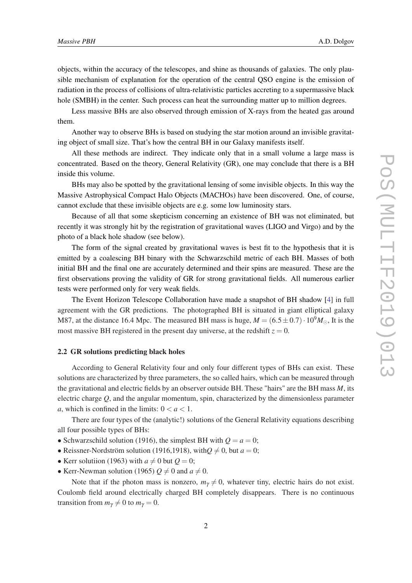objects, within the accuracy of the telescopes, and shine as thousands of galaxies. The only plausible mechanism of explanation for the operation of the central QSO engine is the emission of radiation in the process of collisions of ultra-relativistic particles accreting to a supermassive black hole (SMBH) in the center. Such process can heat the surrounding matter up to million degrees.

Less massive BHs are also observed through emission of X-rays from the heated gas around them.

Another way to observe BHs is based on studying the star motion around an invisible gravitating object of small size. That's how the central BH in our Galaxy manifests itself.

All these methods are indirect. They indicate only that in a small volume a large mass is concentrated. Based on the theory, General Relativity (GR), one may conclude that there is a BH inside this volume.

BHs may also be spotted by the gravitational lensing of some invisible objects. In this way the Massive Astrophysical Compact Halo Objects (MACHOs) have been discovered. One, of course, cannot exclude that these invisible objects are e.g. some low luminosity stars.

Because of all that some skepticism concerning an existence of BH was not eliminated, but recently it was strongly hit by the registration of gravitational waves (LIGO and Virgo) and by the photo of a black hole shadow (see below).

The form of the signal created by gravitational waves is best fit to the hypothesis that it is emitted by a coalescing BH binary with the Schwarzschild metric of each BH. Masses of both initial BH and the final one are accurately determined and their spins are measured. These are the first observations proving the validity of GR for strong gravitational fields. All numerous earlier tests were performed only for very weak fields.

The Event Horizon Telescope Collaboration have made a snapshot of BH shadow [[4](#page-16-0)] in full agreement with the GR predictions. The photographed BH is situated in giant elliptical galaxy M87, at the distance 16.4 Mpc. The measured BH mass is huge,  $M = (6.5 \pm 0.7) \cdot 10^9 M_{\odot}$ , It is the most massive BH registered in the present day universe, at the redshift  $z = 0$ .

#### 2.2 GR solutions predicting black holes

According to General Relativity four and only four different types of BHs can exist. These solutions are characterized by three parameters, the so called hairs, which can be measured through the gravitational and electric fields by an observer outside BH. These "hairs" are the BH mass *M*, its electric charge *Q*, and the angular momentum, spin, characterized by the dimensionless parameter *a*, which is confined in the limits:  $0 < a < 1$ .

There are four types of the (analytic!) solutions of the General Relativity equations describing all four possible types of BHs:

- Schwarzschild solution (1916), the simplest BH with  $Q = a = 0$ ;
- Reissner-Nordström solution (1916,1918), with $Q \neq 0$ , but  $a = 0$ ;
- Kerr solutiion (1963) with  $a \neq 0$  but  $Q = 0$ ;
- Kerr-Newman solution (1965)  $Q \neq 0$  and  $a \neq 0$ .

Note that if the photon mass is nonzero,  $m<sub>\gamma</sub> \neq 0$ , whatever tiny, electric hairs do not exist. Coulomb field around electrically charged BH completely disappears. There is no continuous transition from  $m_{\gamma} \neq 0$  to  $m_{\gamma} = 0$ .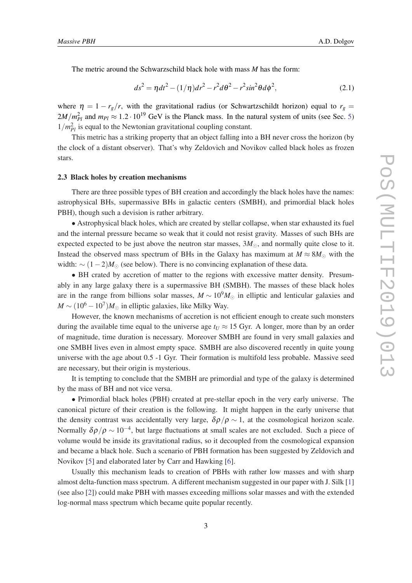The metric around the Schwarzschild black hole with mass *M* has the form:

$$
ds^{2} = \eta dt^{2} - (1/\eta)dr^{2} - r^{2}d\theta^{2} - r^{2}sin^{2}\theta d\phi^{2},
$$
 (2.1)

where  $\eta = 1 - r_g/r$ , with the gravitational radius (or Schwartzschildt horizon) equal to  $r_g =$  $2M/m_{Pl}^2$  and  $m_{Pl} \approx 1.2 \cdot 10^{19}$  GeV is the Planck mass. In the natural system of units (see Sec. [5](#page-13-0))  $1/m_{Pl}^2$  is equal to the Newtonian gravitational coupling constant.

This metric has a striking property that an object falling into a BH never cross the horizon (by the clock of a distant observer). That's why Zeldovich and Novikov called black holes as frozen stars.

#### 2.3 Black holes by creation mechanisms

There are three possible types of BH creation and accordingly the black holes have the names: astrophysical BHs, supermassive BHs in galactic centers (SMBH), and primordial black holes PBH), though such a devision is rather arbitrary.

• Astrophysical black holes, which are created by stellar collapse, when star exhausted its fuel and the internal pressure became so weak that it could not resist gravity. Masses of such BHs are expected expected to be just above the neutron star masses,  $3M_{\odot}$ , and normally quite close to it. Instead the observed mass spectrum of BHs in the Galaxy has maximum at  $M \approx 8M_{\odot}$  with the width:  $\sim (1-2)M_{\odot}$  (see below). There is no convincing explanation of these data.

• BH crated by accretion of matter to the regions with excessive matter density. Presumably in any large galaxy there is a supermassive BH (SMBH). The masses of these black holes are in the range from billions solar masses,  $M \sim 10^9 M_{\odot}$  in elliptic and lenticular galaxies and  $M \sim (10^6 - 10^7) M_{\odot}$  in elliptic galaxies, like Milky Way.

However, the known mechanisms of accretion is not efficient enough to create such monsters during the available time equal to the universe age  $t_U \approx 15$  Gyr. A longer, more than by an order of magnitude, time duration is necessary. Moreover SMBH are found in very small galaxies and one SMBH lives even in almost empty space. SMBH are also discovered recently in quite young universe with the age about 0.5 -1 Gyr. Their formation is multifold less probable. Massive seed are necessary, but their origin is mysterious.

It is tempting to conclude that the SMBH are primordial and type of the galaxy is determined by the mass of BH and not vice versa.

• Primordial black holes (PBH) created at pre-stellar epoch in the very early universe. The canonical picture of their creation is the following. It might happen in the early universe that the density contrast was accidentally very large,  $\delta \rho / \rho \sim 1$ , at the cosmological horizon scale. Normally  $\delta\rho/\rho \sim 10^{-4}$ , but large fluctuations at small scales are not excluded. Such a piece of volume would be inside its gravitational radius, so it decoupled from the cosmological expansion and became a black hole. Such a scenario of PBH formation has been suggested by Zeldovich and Novikov [\[5\]](#page-16-0) and elaborated later by Carr and Hawking [\[6\]](#page-16-0).

Usually this mechanism leads to creation of PBHs with rather low masses and with sharp almost delta-function mass spectrum. A different mechanism suggested in our paper with J. Silk [[1](#page-16-0)] (see also [\[2\]](#page-16-0)) could make PBH with masses exceeding millions solar masses and with the extended log-normal mass spectrum which became quite popular recently.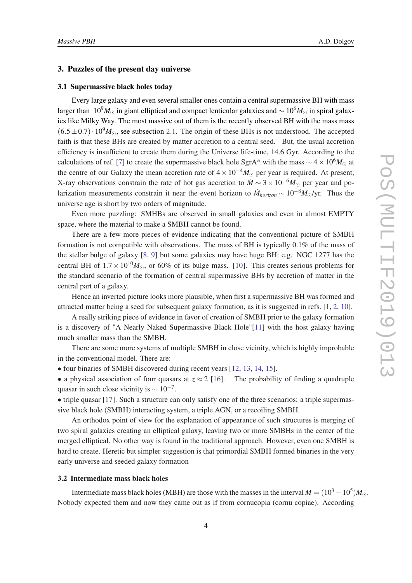## 3. Puzzles of the present day universe

#### 3.1 Supermassive black holes today

Every large galaxy and even several smaller ones contain a central supermassive BH with mass larger than 10<sup>9</sup>*M*<sub>⊙</sub> in giant elliptical and compact lenticular galaxies and ~ 10<sup>6</sup>*M*<sub>☉</sub> in spiral galaxies like Milky Way. The most massive out of them is the recently observed BH with the mass mass  $(6.5 \pm 0.7) \cdot 10^9 M_{\odot}$ , see subsection [2.1.](#page-1-0) The origin of these BHs is not understood. The accepted faith is that these BHs are created by matter accretion to a central seed. But, the usual accretion efficiency is insufficient to create them during the Universe life-time, 14.6 Gyr. According to the calculations of ref. [\[7\]](#page-16-0) to create the supermassive black hole SgrA\* with the mass  $\sim$  4 × 10<sup>6</sup>*M*<sub>⊙</sub> at the centre of our Galaxy the mean accretion rate of  $4 \times 10^{-4} M_{\odot}$  per year is required. At present, X-ray observations constrain the rate of hot gas accretion to  $\dot{M} \sim 3 \times 10^{-6} M_{\odot}$  per year and polarization measurements constrain it near the event horizon to  $\dot{M}_{horizon} \sim 10^{-8} M_{\odot}/\text{yr}$ . Thus the universe age is short by two orders of magnitude.

Even more puzzling: SMHBs are observed in small galaxies and even in almost EMPTY space, where the material to make a SMBH cannot be found.

There are a few more pieces of evidence indicating that the conventional picture of SMBH formation is not compatible with observations. The mass of BH is typically 0.1% of the mass of the stellar bulge of galaxy [[8](#page-16-0), [9](#page-16-0)] but some galaxies may have huge BH: e.g. NGC 1277 has the central BH of  $1.7 \times 10^{10} M_{\odot}$ , or 60% of its bulge mass. [\[10\]](#page-16-0). This creates serious problems for the standard scenario of the formation of central supermassive BHs by accretion of matter in the central part of a galaxy.

Hence an inverted picture looks more plausible, when first a supermassive BH was formed and attracted matter being a seed for subsequent galaxy formation, as it is suggested in refs. [[1](#page-16-0), [2](#page-16-0), [10\]](#page-16-0).

A really striking piece of evidence in favor of creation of SMBH prior to the galaxy formation is a discovery of "A Nearly Naked Supermassive Black Hole"[[11\]](#page-16-0) with the host galaxy having much smaller mass than the SMBH.

There are some more systems of multiple SMBH in close vicinity, which is highly improbable in the conventional model. There are:

• four binaries of SMBH discovered during recent years [[12,](#page-16-0) [13](#page-16-0), [14](#page-16-0), [15\]](#page-16-0).

• a physical association of four quasars at  $z \approx 2$  [\[16\]](#page-17-0). The probability of finding a quadruple quasar in such close vicinity is  $\sim 10^{-7}$ .

• triple quasar [[17\]](#page-17-0). Such a structure can only satisfy one of the three scenarios: a triple supermassive black hole (SMBH) interacting system, a triple AGN, or a recoiling SMBH.

An orthodox point of view for the explanation of appearance of such structures is merging of two spiral galaxies creating an elliptical galaxy, leaving two or more SMBHs in the center of the merged elliptical. No other way is found in the traditional approach. However, even one SMBH is hard to create. Heretic but simpler suggestion is that primordial SMBH formed binaries in the very early universe and seeded galaxy formation

## 3.2 Intermediate mass black holes

Intermediate mass black holes (MBH) are those with the masses in the interval  $M = (10^3 - 10^5)M_{\odot}$ . Nobody expected them and now they came out as if from cornucopia (cornu copiae). According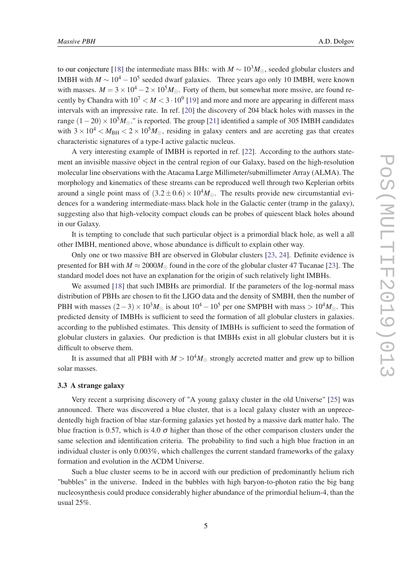to our conjecture [\[18](#page-17-0)] the intermediate mass BHs: with  $M \sim 10^3 M_{\odot}$ , seeded globular clusters and IMBH with  $M \sim 10^4 - 10^5$  seeded dwarf galaxies. Three years ago only 10 IMBH, were known with masses.  $M = 3 \times 10^4 - 2 \times 10^5 M_{\odot}$ . Forty of them, but somewhat more mssive, are found recently by Chandra with  $10^7 < M < 3 \cdot 10^9$  [[19\]](#page-17-0) and more and more are appearing in different mass intervals with an impressive rate. In ref. [[20\]](#page-17-0) the discovery of 204 black holes with masses in the range  $(1-20) \times 10^5 M_{\odot}$ ." is reported. The group [\[21](#page-17-0)] identified a sample of 305 IMBH candidates with  $3 \times 10^4$   $< M_{BH}$   $< 2 \times 10^5 M_{\odot}$ , residing in galaxy centers and are accreting gas that creates characteristic signatures of a type-I active galactic nucleus.

A very interesting example of IMBH is reported in ref. [[22](#page-17-0)]. According to the authors statement an invisible massive object in the central region of our Galaxy, based on the high-resolution molecular line observations with the Atacama Large Millimeter/submillimeter Array (ALMA). The morphology and kinematics of these streams can be reproduced well through two Keplerian orbits around a single point mass of  $(3.2 \pm 0.6) \times 10^4 M_{\odot}$ . The results provide new circumstantial evidences for a wandering intermediate-mass black hole in the Galactic center (tramp in the galaxy), suggesting also that high-velocity compact clouds can be probes of quiescent black holes abound in our Galaxy.

It is tempting to conclude that such particular object is a primordial black hole, as well a all other IMBH, mentioned above, whose abundance is difficult to explain other way.

Only one or two massive BH are observed in Globular clusters [[23](#page-17-0), [24](#page-17-0)]. Definite evidence is presented for BH with  $M \approx 2000 M_{\odot}$  found in the core of the globular cluster 47 Tucanae [\[23](#page-17-0)]. The standard model does not have an explanation for the origin of such relatively light IMBHs.

We assumed [\[18](#page-17-0)] that such IMBHs are primordial. If the parameters of the log-normal mass distribution of PBHs are chosen to fit the LIGO data and the density of SMBH, then the number of PBH with masses  $(2-3) \times 10^3 M_{\odot}$  is about  $10^4 - 10^5$  per one SMPBH with mass >  $10^4 M_{\odot}$ . This predicted density of IMBHs is sufficient to seed the formation of all globular clusters in galaxies. according to the published estimates. This density of IMBHs is sufficient to seed the formation of globular clusters in galaxies. Our prediction is that IMBHs exist in all globular clusters but it is difficult to observe them.

It is assumed that all PBH with  $M > 10<sup>4</sup>M_{\odot}$  strongly accreted matter and grew up to billion solar masses.

#### 3.3 A strange galaxy

Very recent a surprising discovery of "A young galaxy cluster in the old Universe" [\[25](#page-17-0)] was announced. There was discovered a blue cluster, that is a local galaxy cluster with an unprecedentedly high fraction of blue star-forming galaxies yet hosted by a massive dark matter halo. The blue fraction is 0.57, which is 4.0  $\sigma$  higher than those of the other comparison clusters under the same selection and identification criteria. The probability to find such a high blue fraction in an individual cluster is only 0.003%, which challenges the current standard frameworks of the galaxy formation and evolution in the ΛCDM Universe.

Such a blue cluster seems to be in accord with our prediction of predominantly helium rich "bubbles" in the universe. Indeed in the bubbles with high baryon-to-photon ratio the big bang nucleosynthesis could produce considerably higher abundance of the primordial helium-4, than the usual 25%.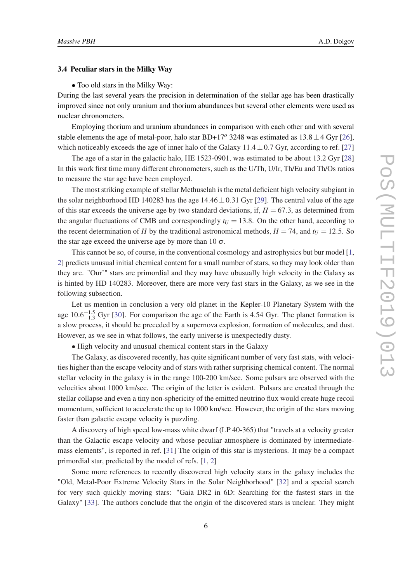#### 3.4 Peculiar stars in the Milky Way

• Too old stars in the Milky Way:

During the last several years the precision in determination of the stellar age has been drastically improved since not only uranium and thorium abundances but several other elements were used as nuclear chronometers.

Employing thorium and uranium abundances in comparison with each other and with several stable elements the age of metal-poor, halo star BD+17<sup>o</sup> 3248 was estimated as  $13.8 \pm 4$  Gyr [[26\]](#page-17-0), which noticeably exceeds the age of inner halo of the Galaxy  $11.4 \pm 0.7$  Gyr, according to ref. [\[27](#page-17-0)]

The age of a star in the galactic halo, HE 1523-0901, was estimated to be about 13.2 Gyr [\[28](#page-17-0)] In this work first time many different chronometers, such as the U/Th, U/Ir, Th/Eu and Th/Os ratios to measure the star age have been employed.

The most striking example of stellar Methuselah is the metal deficient high velocity subgiant in the solar neighborhood HD 140283 has the age  $14.46 \pm 0.31$  Gyr [\[29](#page-17-0)]. The central value of the age of this star exceeds the universe age by two standard deviations, if,  $H = 67.3$ , as determined from the angular fluctuations of CMB and correspondingly  $t_U = 13.8$ . On the other hand, according to the recent determination of *H* by the traditional astronomical methods,  $H = 74$ , and  $t_U = 12.5$ . So the star age exceed the universe age by more than 10  $\sigma$ .

This cannot be so, of course, in the conventional cosmology and astrophysics but bur model [[1](#page-16-0), [2\]](#page-16-0) predicts unusual initial chemical content for a small number of stars, so they may look older than they are. "Our'" stars are primordial and they may have ubusually high velocity in the Galaxy as is hinted by HD 140283. Moreover, there are more very fast stars in the Galaxy, as we see in the following subsection.

Let us mention in conclusion a very old planet in the Kepler-10 Planetary System with the age  $10.6^{+1.5}_{-1.3}$  Gyr [\[30](#page-17-0)]. For comparison the age of the Earth is 4.54 Gyr. The planet formation is a slow process, it should be preceded by a supernova explosion, formation of molecules, and dust. However, as we see in what follows, the early universe is unexpectedly dusty.

• High velocity and unusual chemical content stars in the Galaxy

The Galaxy, as discovered recently, has quite significant number of very fast stats, with velocities higher than the escape velocity and of stars with rather surprising chemical content. The normal stellar velocity in the galaxy is in the range 100-200 km/sec. Some pulsars are observed with the velocities about 1000 km/sec. The origin of the letter is evident. Pulsars are created through the stellar collapse and even a tiny non-sphericity of the emitted neutrino flux would create huge recoil momentum, sufficient to accelerate the up to 1000 km/sec. However, the origin of the stars moving faster than galactic escape velocity is puzzling.

A discovery of high speed low-mass white dwarf (LP 40-365) that "travels at a velocity greater than the Galactic escape velocity and whose peculiar atmosphere is dominated by intermediatemass elements", is reported in ref. [\[31](#page-17-0)] The origin of this star is mysterious. It may be a compact primordial star, predicted by the model of refs. [\[1,](#page-16-0) [2\]](#page-16-0)

Some more references to recently discovered high velocity stars in the galaxy includes the "Old, Metal-Poor Extreme Velocity Stars in the Solar Neighborhood" [\[32\]](#page-17-0) and a special search for very such quickly moving stars: "Gaia DR2 in 6D: Searching for the fastest stars in the Galaxy" [\[33\]](#page-17-0). The authors conclude that the origin of the discovered stars is unclear. They might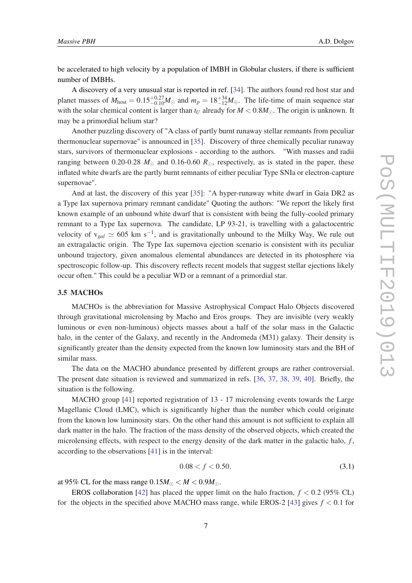be accelerated to high velocity by a population of IMBH in Globular clusters, if there is sufficient number of IMBHs.

A discovery of a very unusual star is reported in ref. [[34\]](#page-17-0). The authors found red host star and planet masses of  $M_{\text{host}} = 0.15_{-0.10}^{+0.27} M_{\odot}$  and  $m_p = 18_{-12}^{+34} M_{\oplus}$ . The life-time of main sequence star with the solar chemical content is larger than  $t_U$  already for  $M < 0.8M_{\odot}$ . The origin is unknown. It may be a primordial helium star?

Another puzzling discovery of "A class of partly burnt runaway stellar remnants from peculiar thermonuclear supernovae" is announced in [[35](#page-17-0)]. Discovery of three chemically peculiar runaway stars, survivors of thermonuclear explosions - according to the authors. "With masses and radii ranging between 0.20-0.28  $M_{\odot}$  and 0.16-0.60  $R_{\odot}$ , respectively, as is stated in the paper, these inflated white dwarfs are the partly burnt remnants of either peculiar Type SNIa or electron-capture supernovae".

And at last, the discovery of this year [[35\]](#page-17-0): "A hyper-runaway white dwarf in Gaia DR2 as a Type Iax supernova primary remnant candidate" Quoting the authors: "We report the likely first known example of an unbound white dwarf that is consistent with being the fully-cooled primary remnant to a Type Iax supernova. The candidate, LP 93-21, is travelling with a galactocentric velocity of  $v_{gal} \simeq 605$  km s<sup>-1</sup>, and is gravitationally unbound to the Milky Way, We rule out an extragalactic origin. The Type Iax supernova ejection scenario is consistent with its peculiar unbound trajectory, given anomalous elemental abundances are detected in its photosphere via spectroscopic follow-up. This discovery reflects recent models that suggest stellar ejections likely occur often." This could be a peculiar WD or a remnant of a primordial star.

#### 3.5 MACHOs

MACHOs is the abbreviation for Massive Astrophysical Compact Halo Objects discovered through gravitational microlensing by Macho and Eros groups. They are invisible (very weakly luminous or even non-luminous) objects masses about a half of the solar mass in the Galactic halo, in the center of the Galaxy, and recently in the Andromeda (M31) galaxy. Their density is significantly greater than the density expected from the known low luminosity stars and the BH of similar mass.

The data on the MACHO abundance presented by different groups are rather controversial. The present date situation is reviewed and summarized in refs. [\[36](#page-17-0), [37,](#page-18-0) [38,](#page-18-0) [39,](#page-18-0) [40](#page-18-0)]. Briefly, the situation is the following.

MACHO group [\[41](#page-18-0)] reported registration of 13 - 17 microlensing events towards the Large Magellanic Cloud (LMC), which is significantly higher than the number which could originate from the known low luminosity stars. On the other hand this amount is not sufficient to explain all dark matter in the halo. The fraction of the mass density of the observed objects, which created the microlensing effects, with respect to the energy density of the dark matter in the galactic halo, *f* , according to the observations [[41](#page-18-0)] is in the interval:

$$
0.08 < f < 0.50,\tag{3.1}
$$

at 95% CL for the mass range  $0.15M_{\odot} < M < 0.9M_{\odot}$ .

EROS collaboration [\[42](#page-18-0)] has placed the upper limit on the halo fraction,  $f < 0.2$  (95% CL) for the objects in the specified above MACHO mass range, while EROS-2 [\[43](#page-18-0)] gives  $f < 0.1$  for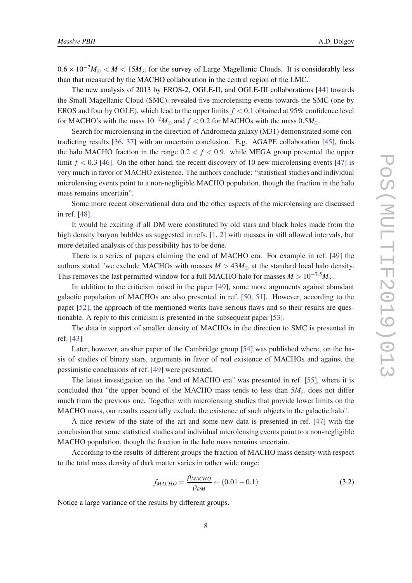$0.6 \times 10^{-7} M_{\odot} < M < 15 M_{\odot}$  for the survey of Large Magellanic Clouds. It is considerably less than that measured by the MACHO collaboration in the central region of the LMC.

The new analysis of 2013 by EROS-2, OGLE-II, and OGLE-III collaborations [[44\]](#page-18-0) towards the Small Magellanic Cloud (SMC). revealed five microlensing events towards the SMC (one by EROS and four by OGLE), which lead to the upper limits  $f < 0.1$  obtained at 95% confidence level for MACHO's with the mass  $10^{-2}M_{\odot}$  and  $f < 0.2$  for MACHOs with the mass  $0.5M_{\odot}$ .

Search for microlensing in the direction of Andromeda galaxy (M31) demonstrated some contradicting results [\[36,](#page-17-0) [37\]](#page-18-0) with an uncertain conclusion. E.g. AGAPE collaboration [\[45](#page-18-0)], finds the halo MACHO fraction in the range  $0.2 < f < 0.9$ . while MEGA group presented the upper limit  $f < 0.3$  [[46\]](#page-18-0). On the other hand, the recent discovery of 10 new microlensing events [\[47\]](#page-18-0) is very much in favor of MACHO existence. The authors conclude: "statistical studies and individual microlensing events point to a non-negligible MACHO population, though the fraction in the halo mass remains uncertain".

Some more recent observational data and the other aspects of the microlensing are discussed in ref. [[48\]](#page-18-0).

It would be exciting if all DM were constituted by old stars and black holes made from the high density baryon bubbles as suggested in refs. [\[1,](#page-16-0) [2](#page-16-0)] with masses in still allowed intervals, but more detailed analysis of this possibility has to be done.

There is a series of papers claiming the end of MACHO era. For example in ref. [\[49](#page-18-0)] the authors stated "we exclude MACHOs with masses  $M > 43M_{\odot}$  at the standard local halo density. This removes the last permitted window for a full MACHO halo for masses  $M > 10^{-7.5} M_{\odot}$ .

In addition to the criticism raised in the paper [[49\]](#page-18-0), some more arguments against abundant galactic population of MACHOs are also presented in ref. [[50,](#page-18-0) [51](#page-18-0)]. However, according to the paper [\[52](#page-18-0)], the approach of the mentioned works have serious flaws and so their results are questionable. A reply to this criticism is presented in the subsequent paper [[53](#page-18-0)].

The data in support of smaller density of MACHOs in the direction to SMC is presented in ref. [[43](#page-18-0)]

Later, however, another paper of the Cambridge group [\[54](#page-18-0)] was published where, on the basis of studies of binary stars, arguments in favor of real existence of MACHOs and against the pessimistic conclusions of ref. [[49\]](#page-18-0) were presented.

The latest investigation on the "end of MACHO era" was presented in ref. [[55](#page-19-0)], where it is concluded that "the upper bound of the MACHO mass tends to less than  $5M_{\odot}$  does not differ much from the previous one. Together with microlensing studies that provide lower limits on the MACHO mass, our results essentially exclude the existence of such objects in the galactic halo".

A nice review of the state of the art and some new data is presented in ref. [\[47](#page-18-0)] with the conclusion that some statistical studies and individual microlensing events point to a non-negligible MACHO population, though the fraction in the halo mass remains uncertain.

According to the results of different groups the fraction of MACHO mass density with respect to the total mass density of dark matter varies in rather wide range:

$$
f_{MACHO} = \frac{\rho_{MACHO}}{\rho_{DM}} \sim (0.01 - 0.1)
$$
\n(3.2)

Notice a large variance of the results by different groups.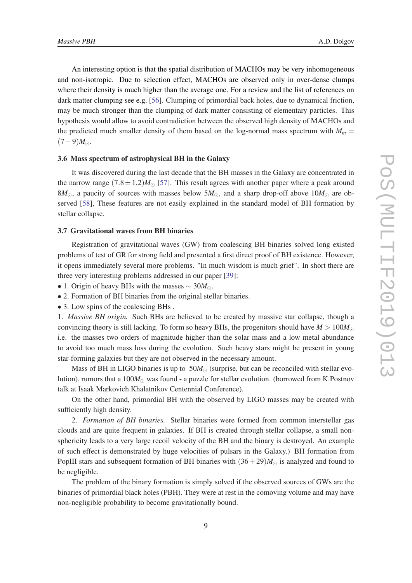An interesting option is that the spatial distribution of MACHOs may be very inhomogeneous and non-isotropic. Due to selection effect, MACHOs are observed only in over-dense clumps where their density is much higher than the average one. For a review and the list of references on dark matter clumping see e.g. [\[56\]](#page-19-0). Clumping of primordial back holes, due to dynamical friction, may be much stronger than the clumping of dark matter consisting of elementary particles. This hypothesis would allow to avoid contradiction between the observed high density of MACHOs and the predicted much smaller density of them based on the log-normal mass spectrum with  $M_m$  =  $(7-9)M_{\odot}$ .

#### 3.6 Mass spectrum of astrophysical BH in the Galaxy

It was discovered during the last decade that the BH masses in the Galaxy are concentrated in the narrow range  $(7.8 \pm 1.2)M_{\odot}$  [\[57](#page-19-0)]. This result agrees with another paper where a peak around  $8M_{\odot}$ , a paucity of sources with masses below  $5M_{\odot}$ , and a sharp drop-off above  $10M_{\odot}$  are observed [\[58](#page-19-0)], These features are not easily explained in the standard model of BH formation by stellar collapse.

## 3.7 Gravitational waves from BH binaries

Registration of gravitational waves (GW) from coalescing BH binaries solved long existed problems of test of GR for strong field and presented a first direct proof of BH existence. However, it opens immediately several more problems. "In much wisdom is much grief". In short there are three very interesting problems addressed in our paper [[39\]](#page-18-0):

• 1. Origin of heavy BHs with the masses ∼ 30*M*.

- 2. Formation of BH binaries from the original stellar binaries.
- 3. Low spins of the coalescing BHs .

1. *Massive BH origin.* Such BHs are believed to be created by massive star collapse, though a convincing theory is still lacking. To form so heavy BHs, the progenitors should have  $M > 100M_{\odot}$ i.e. the masses two orders of magnitude higher than the solar mass and a low metal abundance to avoid too much mass loss during the evolution. Such heavy stars might be present in young star-forming galaxies but they are not observed in the necessary amount.

Mass of BH in LIGO binaries is up to  $50M_{\odot}$  (surprise, but can be reconciled with stellar evolution), rumors that a  $100M_{\odot}$  was found - a puzzle for stellar evolution. (borrowed from K.Postnov talk at Isaak Markovich Khalatnikov Centennial Conference).

On the other hand, primordial BH with the observed by LIGO masses may be created with sufficiently high density.

2. *Formation of BH binaries.* Stellar binaries were formed from common interstellar gas clouds and are quite frequent in galaxies. If BH is created through stellar collapse, a small nonsphericity leads to a very large recoil velocity of the BH and the binary is destroyed. An example of such effect is demonstrated by huge velocities of pulsars in the Galaxy.) BH formation from PopIII stars and subsequent formation of BH binaries with  $(36+29)M_{\odot}$  is analyzed and found to be negligible.

The problem of the binary formation is simply solved if the observed sources of GWs are the binaries of primordial black holes (PBH). They were at rest in the comoving volume and may have non-negligible probability to become gravitationally bound.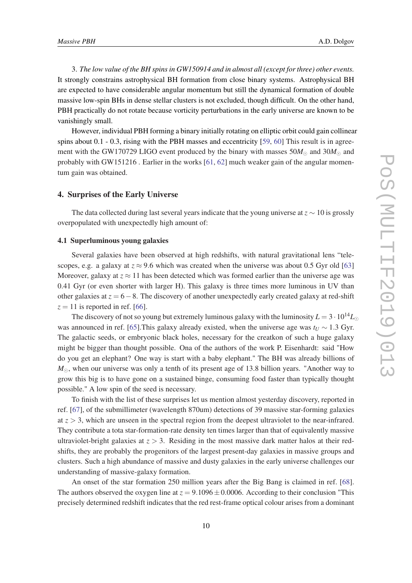3. *The low value of the BH spins in GW150914 and in almost all (except for three) other events.* It strongly constrains astrophysical BH formation from close binary systems. Astrophysical BH are expected to have considerable angular momentum but still the dynamical formation of double massive low-spin BHs in dense stellar clusters is not excluded, though difficult. On the other hand, PBH practically do not rotate because vorticity perturbations in the early universe are known to be vanishingly small.

However, individual PBH forming a binary initially rotating on elliptic orbit could gain collinear spins about  $0.1 - 0.3$ , rising with the PBH masses and eccentricity [\[59](#page-19-0), [60\]](#page-19-0) This result is in agreement with the GW170729 LIGO event produced by the binary with masses  $50M_{\odot}$  and  $30M_{\odot}$  and probably with GW151216 . Earlier in the works [[61,](#page-19-0) [62\]](#page-19-0) much weaker gain of the angular momentum gain was obtained.

## 4. Surprises of the Early Universe

The data collected during last several years indicate that the young universe at *z* ∼ 10 is grossly overpopulated with unexpectedly high amount of:

## 4.1 Superluminous young galaxies

Several galaxies have been observed at high redshifts, with natural gravitational lens "telescopes, e.g. a galaxy at  $z \approx 9.6$  which was created when the universe was about 0.5 Gyr old [\[63](#page-19-0)] Moreover, galaxy at  $z \approx 11$  has been detected which was formed earlier than the universe age was 0.41 Gyr (or even shorter with larger H). This galaxy is three times more luminous in UV than other galaxies at *z* = 6−8. The discovery of another unexpectedly early created galaxy at red-shift  $z = 11$  is reported in ref. [\[66\]](#page-19-0).

The discovery of not so young but extremely luminous galaxy with the luminosity  $L = 3 \cdot 10^{14} L_{\odot}$ was announced in ref. [\[65](#page-19-0)].This galaxy already existed, when the universe age was  $t_U \sim 1.3$  Gyr. The galactic seeds, or embryonic black holes, necessary for the creatkon of such a huge galaxy might be bigger than thought possible. Ona of the authors of the work P. Eisenhardt: said "How do you get an elephant? One way is start with a baby elephant." The BH was already billions of  $M_{\odot}$ , when our universe was only a tenth of its present age of 13.8 billion years. "Another way to grow this big is to have gone on a sustained binge, consuming food faster than typically thought possible." A low spin of the seed is necessary.

To finish with the list of these surprises let us mention almost yesterday discovery, reported in ref. [[67\]](#page-19-0), of the submillimeter (wavelength 870um) detections of 39 massive star-forming galaxies at  $z > 3$ , which are unseen in the spectral region from the deepest ultraviolet to the near-infrared. They contribute a tota star-formation-rate density ten times larger than that of equivalently massive ultraviolet-bright galaxies at  $z > 3$ . Residing in the most massive dark matter halos at their redshifts, they are probably the progenitors of the largest present-day galaxies in massive groups and clusters. Such a high abundance of massive and dusty galaxies in the early universe challenges our understanding of massive-galaxy formation.

An onset of the star formation 250 million years after the Big Bang is claimed in ref. [[68\]](#page-19-0). The authors observed the oxygen line at  $z = 9.1096 \pm 0.0006$ . According to their conclusion "This precisely determined redshift indicates that the red rest-frame optical colour arises from a dominant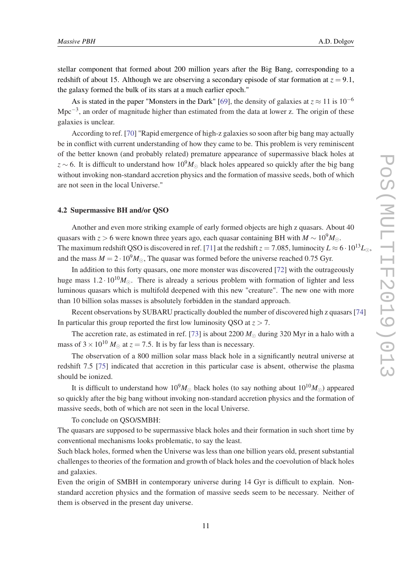stellar component that formed about 200 million years after the Big Bang, corresponding to a redshift of about 15. Although we are observing a secondary episode of star formation at  $z = 9.1$ , the galaxy formed the bulk of its stars at a much earlier epoch."

As is stated in the paper "Monsters in the Dark" [\[69](#page-19-0)], the density of galaxies at  $z \approx 11$  is  $10^{-6}$ Mpc<sup>-3</sup>, an order of magnitude higher than estimated from the data at lower z. The origin of these galaxies is unclear.

According to ref. [\[70\]](#page-19-0) "Rapid emergence of high-z galaxies so soon after big bang may actually be in conflict with current understanding of how they came to be. This problem is very reminiscent of the better known (and probably related) premature appearance of supermassive black holes at  $z \sim 6$ . It is difficult to understand how 10<sup>9</sup>*M*<sub>∩</sub> black holes appeared so quickly after the big bang without invoking non-standard accretion physics and the formation of massive seeds, both of which are not seen in the local Universe."

## 4.2 Supermassive BH and/or QSO

Another and even more striking example of early formed objects are high z quasars. About 40 quasars with *z* > 6 were known three years ago, each quasar containing BH with  $M \sim 10^9 M_{\odot}$ . The maximum redshift QSO is discovered in ref. [\[71](#page-19-0)] at the redshift  $z = 7.085$ , luminocity  $L \approx 6 \cdot 10^{13} L_{\odot}$ , and the mass  $M = 2 \cdot 10^9 M_{\odot}$ , The quasar was formed before the universe reached 0.75 Gyr.

In addition to this forty quasars, one more monster was discovered [\[72](#page-19-0)] with the outrageously huge mass  $1.2 \cdot 10^{10} M_{\odot}$ . There is already a serious problem with formation of lighter and less luminous quasars which is multifold deepened with this new "creature". The new one with more than 10 billion solas masses is absolutely forbidden in the standard approach.

Recent observations by SUBARU practically doubled the number of discovered high z quasars [[74](#page-19-0)] In particular this group reported the first low luminosity QSO at  $z > 7$ .

The accretion rate, as estimated in ref. [\[73](#page-19-0)] is about 2200  $M_{\odot}$  during 320 Myr in a halo with a mass of  $3 \times 10^{10}$  *M*<sub> $\odot$ </sub> at  $z = 7.5$ . It is by far less than is necessary.

The observation of a 800 million solar mass black hole in a significantly neutral universe at redshift 7.5 [\[75](#page-20-0)] indicated that accretion in this particular case is absent, otherwise the plasma should be ionized.

It is difficult to understand how  $10^9 M_{\odot}$  black holes (to say nothing about  $10^{10} M_{\odot}$ ) appeared so quickly after the big bang without invoking non-standard accretion physics and the formation of massive seeds, both of which are not seen in the local Universe.

To conclude on QSO/SMBH:

The quasars are supposed to be supermassive black holes and their formation in such short time by conventional mechanisms looks problematic, to say the least.

Such black holes, formed when the Universe was less than one billion years old, present substantial challenges to theories of the formation and growth of black holes and the coevolution of black holes and galaxies.

Even the origin of SMBH in contemporary universe during 14 Gyr is difficult to explain. Nonstandard accretion physics and the formation of massive seeds seem to be necessary. Neither of them is observed in the present day universe.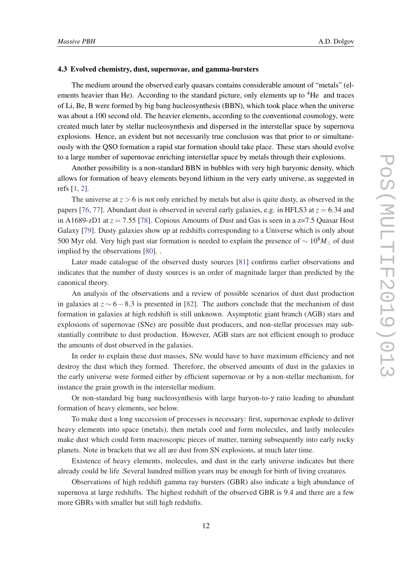#### 4.3 Evolved chemistry, dust, supernovae, and gamma-bursters

The medium around the observed early quasars contains considerable amount of "metals" (elements heavier than He). According to the standard picture, only elements up to  ${}^{4}$ He and traces of Li, Be, B were formed by big bang hucleosynthesis (BBN), which took place when the universe was about a 100 second old. The heavier elements, according to the conventional cosmology, were created much later by stellar nucleosynthesis and dispersed in the interstellar space by supernova explosions. Hence, an evident but not necessarily true conclusion was that prior to or simultaneously with the QSO formation a rapid star formation should take place. These stars should evolve to a large number of supernovae enriching interstellar space by metals through their explosions.

Another possibility is a non-standard BBN in bubbles with very high baryonic density, which allows for formation of heavy elements beyond lithium in the very early universe, as suggested in refs [\[1,](#page-16-0) [2](#page-16-0)].

The universe at  $z > 6$  is not only enriched by metals but also is quite dusty, as observed in the papers [[76,](#page-20-0) [77](#page-20-0)]. Abundant dust is observed in several early galaxies, e.g. in HFLS3 at  $z = 6.34$  and in A1689-zD1 at  $z = 7.55$  [[78\]](#page-20-0). Copious Amounts of Dust and Gas is seen in a z=7.5 Quasar Host Galaxy [\[79](#page-20-0)]. Dusty galaxies show up at redshifts corresponding to a Universe which is only about 500 Myr old. Very high past star formation is needed to explain the presence of ~ 10<sup>8</sup>M<sub>∩</sub> of dust implied by the observations [\[80](#page-20-0)]. .

Later made catalogue of the observed dusty sources [\[81\]](#page-20-0) confirms earlier observations and indicates that the number of dusty sources is an order of magnitude larger than predicted by the canonical theory.

An analysis of the observations and a review of possible scenarios of dust dust production in galaxies at  $z \sim 6-8.3$  is presented in [\[82](#page-20-0)]. The authors conclude that the mechanism of dust formation in galaxies at high redshift is still unknown. Asymptotic giant branch (AGB) stars and explosions of supernovae (SNe) are possible dust producers, and non-stellar processes may substantially contribute to dust production. However, AGB stars are not efficient enough to produce the amounts of dust observed in the galaxies.

In order to explain these dust masses, SNe would have to have maximum efficiency and not destroy the dust which they formed. Therefore, the observed amounts of dust in the galaxies in the early universe were formed either by efficient supernovae or by a non-stellar mechanism, for instance the grain growth in the interstellar medium.

Or non-standard big bang nucleosynthesis with large baryon-to- $\gamma$  ratio leading to abundant formation of heavy elements, see below.

To make dust a long succession of processes is necessary: first, supernovae explode to deliver heavy elements into space (metals), then metals cool and form molecules, and lastly molecules make dust which could form macroscopic pieces of matter, turning subsequently into early rocky planets. Note in brackets that we all are dust from SN explosions, at much later time.

Existence of heavy elements, molecules, and dust in the early universe indicates but there already could be life .Several hundred million years may be enough for birth of living creatures.

Observations of high redshift gamma ray bursters (GBR) also indicate a high abundance of supernova at large redshifts. The highest redshift of the observed GBR is 9.4 and there are a few more GBRs with smaller but still high redshifts.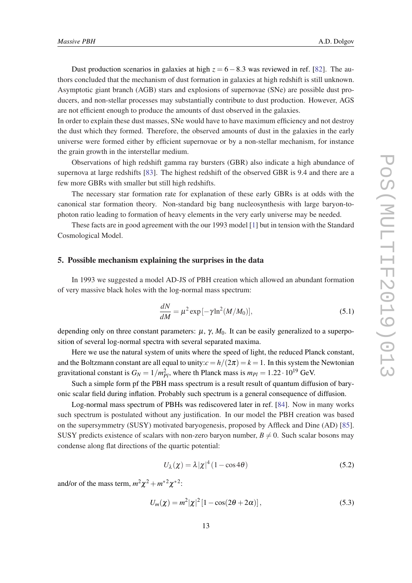<span id="page-13-0"></span>Dust production scenarios in galaxies at high  $z = 6 - 8.3$  was reviewed in ref. [\[82](#page-20-0)]. The authors concluded that the mechanism of dust formation in galaxies at high redshift is still unknown. Asymptotic giant branch (AGB) stars and explosions of supernovae (SNe) are possible dust producers, and non-stellar processes may substantially contribute to dust production. However, AGS are not efficient enough to produce the amounts of dust observed in the galaxies.

In order to explain these dust masses, SNe would have to have maximum efficiency and not destroy the dust which they formed. Therefore, the observed amounts of dust in the galaxies in the early universe were formed either by efficient supernovae or by a non-stellar mechanism, for instance the grain growth in the interstellar medium.

Observations of high redshift gamma ray bursters (GBR) also indicate a high abundance of supernova at large redshifts [[83\]](#page-20-0). The highest redshift of the observed GBR is 9.4 and there are a few more GBRs with smaller but still high redshifts.

The necessary star formation rate for explanation of these early GBRs is at odds with the canonical star formation theory. Non-standard big bang nucleosynthesis with large baryon-tophoton ratio leading to formation of heavy elements in the very early universe may be needed.

These facts are in good agreement with the our 1993 model [\[1\]](#page-16-0) but in tension with the Standard Cosmological Model.

## 5. Possible mechanism explaining the surprises in the data

In 1993 we suggested a model AD-JS of PBH creation which allowed an abundant formation of very massive black holes with the log-normal mass spectrum:

$$
\frac{dN}{dM} = \mu^2 \exp\left[-\gamma \ln^2(M/M_0)\right],\tag{5.1}
$$

depending only on three constant parameters:  $\mu$ ,  $\gamma$ ,  $M_0$ . It can be easily generalized to a superposition of several log-normal spectra with several separated maxima.

Here we use the natural system of units where the speed of light, the reduced Planck constant, and the Boltzmann constant are all equal to unity: $c = h/(2\pi) = k = 1$ . In this system the Newtonian gravitational constant is  $G_N = 1/m_{Pl}^2$ , where th Planck mass is  $m_{Pl} = 1.22 \cdot 10^{19}$  GeV.

Such a simple form pf the PBH mass spectrum is a result result of quantum diffusion of baryonic scalar field during inflation. Probably such spectrum is a general consequence of diffusion.

Log-normal mass spectrum of PBHs was rediscovered later in ref. [\[84](#page-20-0)]. Now in many works such spectrum is postulated without any justification. In our model the PBH creation was based on the supersymmetry (SUSY) motivated baryogenesis, proposed by Affleck and Dine (AD) [[85\]](#page-20-0). SUSY predicts existence of scalars with non-zero baryon number,  $B \neq 0$ . Such scalar bosons may condense along flat directions of the quartic potential:

$$
U_{\lambda}(\chi) = \lambda |\chi|^4 (1 - \cos 4\theta)
$$
 (5.2)

and/or of the mass term,  $m^2 \chi^2 + m^{*2} \chi^{*2}$ :

$$
U_m(\chi) = m^2 |\chi|^2 [1 - \cos(2\theta + 2\alpha)], \qquad (5.3)
$$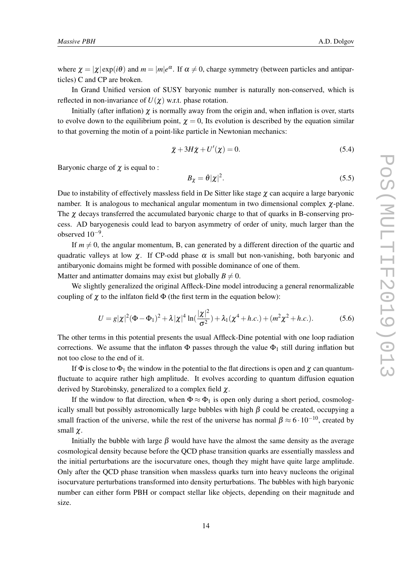where  $\chi = |\chi| \exp(i\theta)$  and  $m = |m|e^{\alpha}$ . If  $\alpha \neq 0$ , charge symmetry (between particles and antiparticles) C and CP are broken.

In Grand Unified version of SUSY baryonic number is naturally non-conserved, which is reflected in non-invariance of  $U(\chi)$  w.r.t. phase rotation.

Initially (after inflation)  $\chi$  is normally away from the origin and, when inflation is over, starts to evolve down to the equilibrium point,  $\chi = 0$ , Its evolution is described by the equation similar to that governing the motin of a point-like particle in Newtonian mechanics:

$$
\ddot{\chi} + 3H\dot{\chi} + U'(\chi) = 0.
$$
\n(5.4)

Baryonic charge of  $\chi$  is equal to :

$$
B_{\chi} = \dot{\theta} |\chi|^2. \tag{5.5}
$$

Due to instability of effectively massless field in De Sitter like stage  $\chi$  can acquire a large baryonic namber. It is analogous to mechanical angular momentum in two dimensional complex  $\chi$ -plane. The  $\chi$  decays transferred the accumulated baryonic charge to that of quarks in B-conserving process. AD baryogenesis could lead to baryon asymmetry of order of unity, much larger than the observed  $10^{-9}$ .

If  $m \neq 0$ , the angular momentum, B, can generated by a different direction of the quartic and quadratic valleys at low  $\chi$ . If CP-odd phase  $\alpha$  is small but non-vanishing, both baryonic and antibaryonic domains might be formed with possible dominance of one of them. Matter and antimatter domains may exist but globally  $B \neq 0$ .

We slightly generalized the original Affleck-Dine model introducing a general renormalizable coupling of  $\chi$  to the inlfaton field  $\Phi$  (the first term in the equation below):

$$
U = g|\chi|^2 (\Phi - \Phi_1)^2 + \lambda |\chi|^4 \ln(\frac{|\chi|^2}{\sigma^2}) + \lambda_1 (\chi^4 + h.c.) + (m^2 \chi^2 + h.c.).
$$
 (5.6)

The other terms in this potential presents the usual Affleck-Dine potential with one loop radiation corrections. We assume that the inflaton  $\Phi$  passes through the value  $\Phi_1$  still during inflation but not too close to the end of it.

If  $\Phi$  is close to  $\Phi_1$  the window in the potential to the flat directions is open and  $\chi$  can quantumfluctuate to acquire rather high amplitude. It evolves according to quantum diffusion equation derived by Starobinsky, generalized to a complex field  $\chi$ .

If the window to flat direction, when  $\Phi \approx \Phi_1$  is open only during a short period, cosmologically small but possibly astronomically large bubbles with high  $\beta$  could be created, occupying a small fraction of the universe, while the rest of the universe has normal  $\beta \approx 6 \cdot 10^{-10}$ , created by small  $\chi$ .

Initially the bubble with large  $\beta$  would have have the almost the same density as the average cosmological density because before the QCD phase transition quarks are essentially massless and the initial perturbations are the isocurvature ones, though they might have quite large amplitude. Only after the QCD phase transition when massless quarks turn into heavy nucleons the original isocurvature perturbations transformed into density perturbations. The bubbles with high baryonic number can either form PBH or compact stellar like objects, depending on their magnitude and size.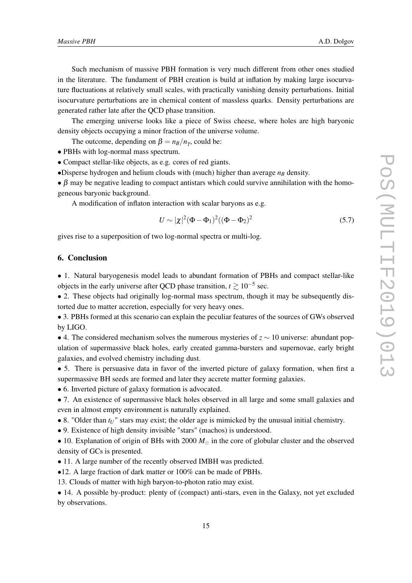Such mechanism of massive PBH formation is very much different from other ones studied in the literature. The fundament of PBH creation is build at inflation by making large isocurvature fluctuations at relatively small scales, with practically vanishing density perturbations. Initial isocurvature perturbations are in chemical content of massless quarks. Density perturbations are generated rather late after the QCD phase transition.

The emerging universe looks like a piece of Swiss cheese, where holes are high baryonic density objects occupying a minor fraction of the universe volume.

The outcome, depending on  $\beta = n_B/n_v$ , could be:

• PBHs with log-normal mass spectrum.

• Compact stellar-like objects, as e.g. cores of red giants.

•Disperse hydrogen and helium clouds with (much) higher than average  $n<sub>B</sub>$  density.

 $\bullet$   $\beta$  may be negative leading to compact antistars which could survive annihilation with the homogeneous baryonic background.

A modification of inflaton interaction with scalar baryons as e.g.

$$
U \sim |\chi|^2 (\Phi - \Phi_1)^2 ((\Phi - \Phi_2)^2)
$$
 (5.7)

gives rise to a superposition of two log-normal spectra or multi-log.

## 6. Conclusion

• 1. Natural baryogenesis model leads to abundant formation of PBHs and compact stellar-like objects in the early universe after QCD phase transition,  $t \gtrsim 10^{-5}$  sec.

• 2. These objects had originally log-normal mass spectrum, though it may be subsequently distorted due to matter accretion, especially for very heavy ones.

• 3. PBHs formed at this scenario can explain the peculiar features of the sources of GWs observed by LIGO.

• 4. The considered mechanism solves the numerous mysteries of  $z \sim 10$  universe: abundant population of supermassive black holes, early created gamma-bursters and supernovae, early bright galaxies, and evolved chemistry including dust.

• 5. There is persuasive data in favor of the inverted picture of galaxy formation, when first a supermassive BH seeds are formed and later they accrete matter forming galaxies.

• 6. Inverted picture of galaxy formation is advocated.

• 7. An existence of supermassive black holes observed in all large and some small galaxies and even in almost empty environment is naturally explained.

• 8. "Older than  $t_U$ " stars may exist; the older age is mimicked by the unusual initial chemistry.

• 9. Existence of high density invisible "stars" (machos) is understood.

• 10. Explanation of origin of BHs with 2000  $M_{\odot}$  in the core of globular cluster and the observed density of GCs is presented.

• 11. A large number of the recently observed IMBH was predicted.

•12. A large fraction of dark matter or 100% can be made of PBHs.

13. Clouds of matter with high baryon-to-photon ratio may exist.

• 14. A possible by-product: plenty of (compact) anti-stars, even in the Galaxy, not yet excluded by observations.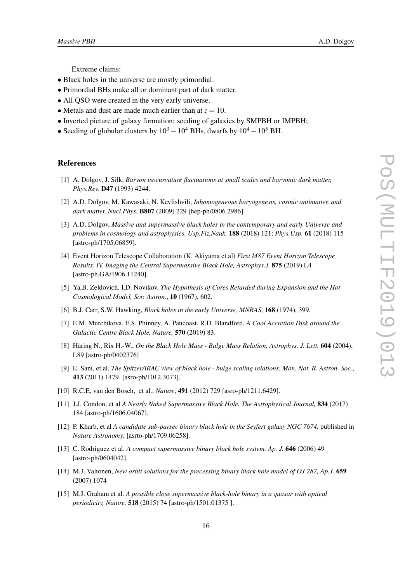Extreme claims:

- <span id="page-16-0"></span>• Black holes in the universe are mostly primordial.
- Primordial BHs make all or dominant part of dark matter.
- All OSO were created in the very early universe.
- Metals and dust are made much earlier than at  $z = 10$ .
- Inverted picture of galaxy formation: seeding of galaxies by SMPBH or IMPBH;
- Seeding of globular clusters by  $10^3 10^4$  BHs, dwarfs by  $10^4 10^5$  BH.

## References

- [1] A. Dolgov, J. Silk, *Baryon isocurvature fluctuations at small scales and baryonic dark matter, Phys.Rev.* D47 (1993) 4244.
- [2] A.D. Dolgov, M. Kawasaki, N. Kevlishvili, *Inhomogeneous baryogenesis, cosmic antimatter, and dark matter, Nucl.Phys.* B807 (2009) 229 [hep-ph/0806.2986].
- [3] A.D. Dolgov, *Massive and supermassive black holes in the contemporary and early Universe and problems in cosmology and astrophysics, Usp.Fiz.Nauk,* 188 (2018) 121; *Phys.Usp.* 61 (2018) 115 [astro-ph/1705.06859].
- [4] Event Horizon Telescope Collaboration (K. Akiyama et al) *First M87 Event Horizon Telescope Results. IV. Imaging the Central Supermassive Black Hole, Astrophys.J.* 875 (2019) L4 [astro-ph.GA/1906.11240].
- [5] Ya,B. Zeldovich, I.D. Novikov, *The Hypothesis of Cores Retarded during Expansion and the Hot Cosmological Model, Sov. Astron.*, 10 (1967), 602.
- [6] B.J. Carr, S.W. Hawking, *Black holes in the early Universe, MNRAS*, 168 (1974), 399.
- [7] E.M. Murchikova, E.S. Phinney, A. Pancoast, R.D. Blandford, *A Cool Accretion Disk around the Galactic Centre Black Hole, Nature,* 570 (2019) 83.
- [8] Häring N., Rix H.-W., *On the Black Hole Mass Bulge Mass Relation, Astrophys. J. Lett.* 604 (2004), L89 [astro-ph/0402376]
- [9] E. Sani, et al, *The Spitzer/IRAC view of black hole bulge scaling relations*, *Mon. Not. R. Astron. Soc.*, 413 (2011) 1479. [asro-ph/1012.3073].
- [10] R.C.E, van den Bosch, et al., *Nature*, 491 (2012) 729 [asro-ph/1211.6429].
- [11] J.J. Condon, et al *A Nearly Naked Supermassive Black Hole. The Astrophysical Journal,* 834 (2017) 184 [astro-ph/1606.04067].
- [12] P. Kharb, et al *A candidate sub-parsec binary black hole in the Seyfert galaxy NGC 7674*, published in *Nature Astronomy*, [asrto-ph/1709.06258].
- [13] C. Rodriguez et al. *A compact supermassive binary black hole system. Ap. J.* 646 (2006) 49 [astro-ph/0604042].
- [14] M.J. Valtonen, *New orbit solutions for the precessing binary black hole model of OJ 287, Ap.J*. 659 (2007) 1074
- [15] M.J. Graham et al. *A possible close supermassive black-hole binary in a quasar with optical periodicity, Nature,* 518 (2015) 74 [astro-ph/1501.01375 ].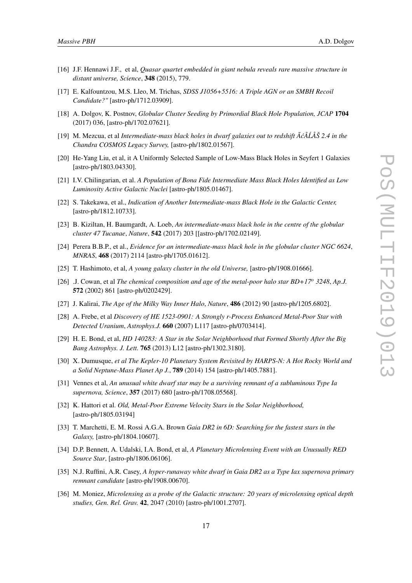- <span id="page-17-0"></span>[16] J.F. Hennawi J.F., et al, *Quasar quartet embedded in giant nebula reveals rare massive structure in distant universe, Science*, 348 (2015), 779.
- [17] E. Kalfountzou, M.S. Lleo, M. Trichas, *SDSS J1056+5516: A Triple AGN or an SMBH Recoil Candidate?"* [astro-ph/1712.03909].
- [18] A. Dolgov, K. Postnov, *Globular Cluster Seeding by Primordial Black Hole Population, JCAP* 1704 (2017) 036, [astro-ph/1702.07621].
- [19] M. Mezcua, et al *Intermediate-mass black holes in dwarf galaxies out to redshift ôcÂLÅŠ 2.4 in the ´ Chandra COSMOS Legacy Survey,* [astro-ph/1802.01567].
- [20] He-Yang Liu, et al, it A Uniformly Selected Sample of Low-Mass Black Holes in Seyfert 1 Galaxies [astro-ph/1803.04330].
- [21] I.V. Chilingarian, et al. *A Population of Bona Fide Intermediate Mass Black Holes Identified as Low Luminosity Active Galactic Nuclei* [astro-ph/1805.01467].
- [22] S. Takekawa, et al., *Indication of Another Intermediate-mass Black Hole in the Galactic Center,* [astro-ph/1812.10733].
- [23] B. Kiziltan, H. Baumgardt, A. Loeb, *An intermediate-mass black hole in the centre of the globular cluster 47 Tucanae*, *Nature*, 542 (2017) 203 [[astro-ph/1702.02149].
- [24] Perera B.B.P., et al., *Evidence for an intermediate-mass black hole in the globular cluster NGC 6624*, *MNRAS*, 468 (2017) 2114 [astro-ph/1705.01612].
- [25] T. Hashimoto, et al, *A young galaxy cluster in the old Universe,* [astro-ph/1908.01666].
- [26] .J. Cowan, et al *The chemical composition and age of the metal-poor halo star BD+17<sup>o</sup> 3248*, *Ap.J.* 572 (2002) 861 [astro-ph/0202429].
- [27] J. Kalirai, *The Age of the Milky Way Inner Halo*, *Nature*, 486 (2012) 90 [astro-ph/1205.6802].
- [28] A. Frebe, et al *Discovery of HE 1523-0901: A Strongly r-Process Enhanced Metal-Poor Star with Detected Uranium*, *Astrophys.J.* 660 (2007) L117 [astro-ph/0703414].
- [29] H. E. Bond, et al, *HD 140283: A Star in the Solar Neighborhood that Formed Shortly After the Big Bang Astrophys. J. Lett.* 765 (2013) L12 [astro-ph/1302.3180].
- [30] X. Dumusque, *et al The Kepler-10 Planetary System Revisited by HARPS-N: A Hot Rocky World and a Solid Neptune-Mass Planet Ap J.*, 789 (2014) 154 [astro-ph/1405.7881].
- [31] Vennes et al, *An unusual white dwarf star may be a surviving remnant of a subluminous Type Ia supernova, Science*, 357 (2017) 680 [astro-ph/1708.05568].
- [32] K. Hattori et al. *Old, Metal-Poor Extreme Velocity Stars in the Solar Neighborhood,* [astro-ph/1805.03194]
- [33] T. Marchetti, E. M. Rossi A.G.A. Brown *Gaia DR2 in 6D: Searching for the fastest stars in the Galaxy,* [astro-ph/1804.10607].
- [34] D.P. Bennett, A. Udalski, I.A. Bond, et al, *A Planetary Microlensing Event with an Unusually RED Source Star*, [astro-ph/1806.06106].
- [35] N.J. Ruffini, A.R. Casey, *A hyper-runaway white dwarf in Gaia DR2 as a Type Iax supernova primary remnant candidate* [astro-ph/1908.00670].
- [36] M. Moniez, *Microlensing as a probe of the Galactic structure: 20 years of microlensing optical depth studies, Gen. Rel. Grav.* 42, 2047 (2010) [astro-ph/1001.2707].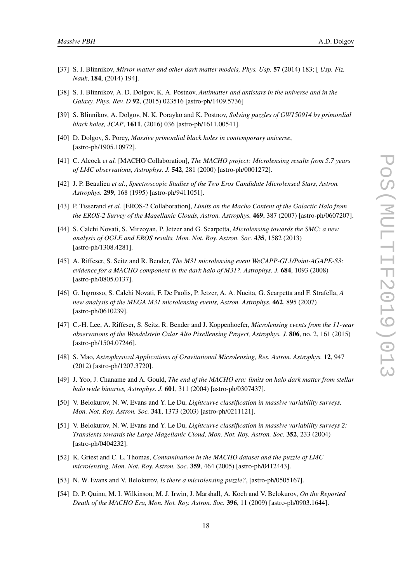- <span id="page-18-0"></span>[37] S. I. Blinnikov, *Mirror matter and other dark matter models, Phys. Usp.* 57 (2014) 183; [ *Usp. Fiz. Nauk*, 184, (2014) 194].
- [38] S. I. Blinnikov, A. D. Dolgov, K. A. Postnov, *Antimatter and antistars in the universe and in the Galaxy, Phys. Rev. D* 92, (2015) 023516 [astro-ph/1409.5736]
- [39] S. Blinnikov, A. Dolgov, N. K. Porayko and K. Postnov, *Solving puzzles of GW150914 by primordial black holes, JCAP*, 1611, (2016) 036 [astro-ph/1611.00541].
- [40] D. Dolgov, S. Porey, *Massive primordial black holes in contemporary universe*, [astro-ph/1905.10972].
- [41] C. Alcock *et al.* [MACHO Collaboration], *The MACHO project: Microlensing results from 5.7 years of LMC observations, Astrophys. J.* 542, 281 (2000) [astro-ph/0001272].
- [42] J. P. Beaulieu *et al.*, *Spectroscopic Studies of the Two Eros Candidate Microlensed Stars, Astron. Astrophys.* 299, 168 (1995) [astro-ph/9411051].
- [43] P. Tisserand *et al.* [EROS-2 Collaboration], *Limits on the Macho Content of the Galactic Halo from the EROS-2 Survey of the Magellanic Clouds, Astron. Astrophys.* 469, 387 (2007) [astro-ph/0607207].
- [44] S. Calchi Novati, S. Mirzoyan, P. Jetzer and G. Scarpetta, *Microlensing towards the SMC: a new analysis of OGLE and EROS results, Mon. Not. Roy. Astron. Soc.* 435, 1582 (2013) [astro-ph/1308.4281].
- [45] A. Riffeser, S. Seitz and R. Bender, *The M31 microlensing event WeCAPP-GL1/Point-AGAPE-S3: evidence for a MACHO component in the dark halo of M31?, Astrophys. J.* 684, 1093 (2008) [astro-ph/0805.0137].
- [46] G. Ingrosso, S. Calchi Novati, F. De Paolis, P. Jetzer, A. A. Nucita, G. Scarpetta and F. Strafella, *A new analysis of the MEGA M31 microlensing events, Astron. Astrophys.* 462, 895 (2007) [astro-ph/0610239].
- [47] C.-H. Lee, A. Riffeser, S. Seitz, R. Bender and J. Koppenhoefer, *Microlensing events from the 11-year observations of the Wendelstein Calar Alto Pixellensing Project, Astrophys. J.* 806, no. 2, 161 (2015) [astro-ph/1504.07246].
- [48] S. Mao, *Astrophysical Applications of Gravitational Microlensing, Res. Astron. Astrophys.* 12, 947 (2012) [astro-ph/1207.3720].
- [49] J. Yoo, J. Chaname and A. Gould, *The end of the MACHO era: limits on halo dark matter from stellar halo wide binaries, Astrophys. J.* 601, 311 (2004) [astro-ph/0307437].
- [50] V. Belokurov, N. W. Evans and Y. Le Du, *Lightcurve classification in massive variability surveys, Mon. Not. Roy. Astron. Soc.* 341, 1373 (2003) [astro-ph/0211121].
- [51] V. Belokurov, N. W. Evans and Y. Le Du, *Lightcurve classification in massive variability surveys 2: Transients towards the Large Magellanic Cloud, Mon. Not. Roy. Astron. Soc.* 352, 233 (2004) [astro-ph/0404232].
- [52] K. Griest and C. L. Thomas, *Contamination in the MACHO dataset and the puzzle of LMC microlensing, Mon. Not. Roy. Astron. Soc.* 359, 464 (2005) [astro-ph/0412443].
- [53] N. W. Evans and V. Belokurov, *Is there a microlensing puzzle?*, [astro-ph/0505167].
- [54] D. P. Quinn, M. I. Wilkinson, M. J. Irwin, J. Marshall, A. Koch and V. Belokurov, *On the Reported Death of the MACHO Era, Mon. Not. Roy. Astron. Soc.* 396, 11 (2009) [astro-ph/0903.1644].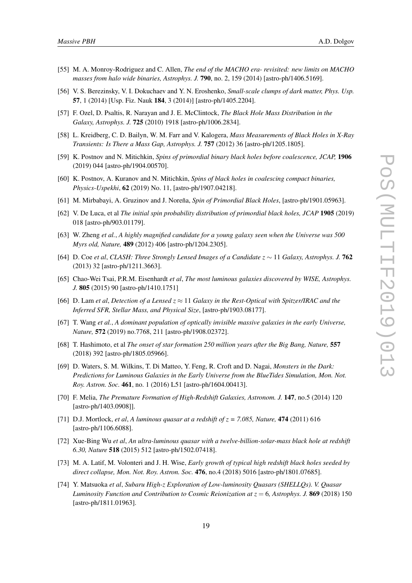- <span id="page-19-0"></span>[55] M. A. Monroy-Rodriguez and C. Allen, *The end of the MACHO era- revisited: new limits on MACHO masses from halo wide binaries, Astrophys. J.* 790, no. 2, 159 (2014) [astro-ph/1406.5169].
- [56] V. S. Berezinsky, V. I. Dokuchaev and Y. N. Eroshenko, *Small-scale clumps of dark matter, Phys. Usp.* 57, 1 (2014) [Usp. Fiz. Nauk 184, 3 (2014)] [astro-ph/1405.2204].
- [57] F. Ozel, D. Psaltis, R. Narayan and J. E. McClintock, *The Black Hole Mass Distribution in the Galaxy, Astrophys. J.* 725 (2010) 1918 [astro-ph/1006.2834].
- [58] L. Kreidberg, C. D. Bailyn, W. M. Farr and V. Kalogera, *Mass Measurements of Black Holes in X-Ray Transients: Is There a Mass Gap, Astrophys. J.* 757 (2012) 36 [astro-ph/1205.1805].
- [59] K. Postnov and N. Mitichkin, *Spins of primordial binary black holes before coalescence, JCAP,* 1906 (2019) 044 [astro-ph/1904.00570].
- [60] K. Postnov, A. Kuranov and N. Mitichkin, *Spins of black holes in coalescing compact binaries, Physics-Uspekhi*, 62 (2019) No. 11, [astro-ph/1907.04218].
- [61] M. Mirbabayi, A. Gruzinov and J. Noreña, *Spin of Primordial Black Holes*, [astro-ph/1901.05963].
- [62] V. De Luca, et al *The initial spin probability distribution of primordial black holes, JCAP* 1905 (2019) 018 [astro-ph/903.01179].
- [63] W. Zheng *et al.*, *A highly magnified candidate for a young galaxy seen when the Universe was 500 Myrs old, Nature,* 489 (2012) 406 [astro-ph/1204.2305].
- [64] D. Coe *et al*, *CLASH: Three Strongly Lensed Images of a Candidate z* ∼ 11 *Galaxy, Astrophys. J.* 762 (2013) 32 [astro-ph/1211.3663].
- [65] Chao-Wei Tsai, P.R.M. Eisenhardt *et al*, *The most luminous galaxies discovered by WISE, Astrophys. J.* 805 (2015) 90 [astro-ph/1410.1751]
- [66] D. Lam *et al, Detection of a Lensed*  $z \approx 11$  *Galaxy in the Rest-Optical with Spitzer/IRAC and the Inferred SFR, Stellar Mass, and Physical Size*, [astro-ph/1903.08177].
- [67] T. Wang *et al.*, *A dominant population of optically invisible massive galaxies in the early Universe, Nature,* 572 (2019) no.7768, 211 [astro-ph/1908.02372].
- [68] T. Hashimoto, et al *The onset of star formation 250 million years after the Big Bang, Nature,* 557 (2018) 392 [astro-ph/1805.05966].
- [69] D. Waters, S. M. Wilkins, T. Di Matteo, Y. Feng, R. Croft and D. Nagai, *Monsters in the Dark: Predictions for Luminous Galaxies in the Early Universe from the BlueTides Simulation, Mon. Not. Roy. Astron. Soc.* 461, no. 1 (2016) L51 [astro-ph/1604.00413].
- [70] F. Melia, *The Premature Formation of High-Redshift Galaxies, Astronom. J.* 147, no.5 (2014) 120 [astro-ph/1403.0908]].
- [71] D.J. Mortlock, *et al*, *A luminous quasar at a redshift of z = 7.085, Nature,* 474 (2011) 616 [astro-ph/1106.6088].
- [72] Xue-Bing Wu *et al*, *An ultra-luminous quasar with a twelve-billion-solar-mass black hole at redshift 6.30, Nature* 518 (2015) 512 [astro-ph/1502.07418].
- [73] M. A. Latif, M. Volonteri and J. H. Wise, *Early growth of typical high redshift black holes seeded by direct collapse, Mon. Not. Roy. Astron. Soc.* 476, no.4 (2018) 5016 [astro-ph/1801.07685].
- [74] Y. Matsuoka *et al*, *Subaru High-z Exploration of Low-luminosity Quasars (SHELLQs). V. Quasar Luminosity Function and Contribution to Cosmic Reionization at z* = 6*, Astrophys. J.* 869 (2018) 150 [astro-ph/1811.01963].